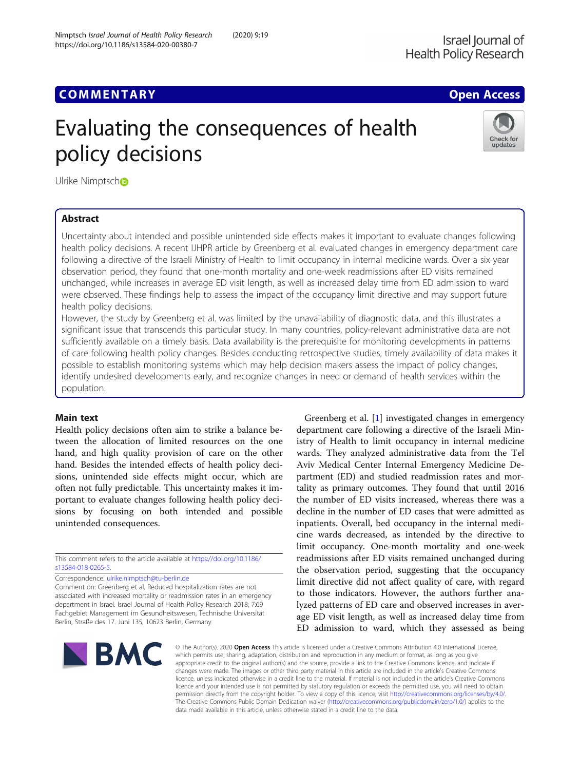# **COMMENTARY COMMENTARY COMMENTARY**

# Evaluating the consequences of health policy decisions



Ulrike Nimptsc[h](http://orcid.org/0000-0002-4292-5162)o

# Abstract

Uncertainty about intended and possible unintended side effects makes it important to evaluate changes following health policy decisions. A recent IJHPR article by Greenberg et al. evaluated changes in emergency department care following a directive of the Israeli Ministry of Health to limit occupancy in internal medicine wards. Over a six-year observation period, they found that one-month mortality and one-week readmissions after ED visits remained unchanged, while increases in average ED visit length, as well as increased delay time from ED admission to ward were observed. These findings help to assess the impact of the occupancy limit directive and may support future health policy decisions.

However, the study by Greenberg et al. was limited by the unavailability of diagnostic data, and this illustrates a significant issue that transcends this particular study. In many countries, policy-relevant administrative data are not sufficiently available on a timely basis. Data availability is the prerequisite for monitoring developments in patterns of care following health policy changes. Besides conducting retrospective studies, timely availability of data makes it possible to establish monitoring systems which may help decision makers assess the impact of policy changes, identify undesired developments early, and recognize changes in need or demand of health services within the population.

## Main text

Health policy decisions often aim to strike a balance between the allocation of limited resources on the one hand, and high quality provision of care on the other hand. Besides the intended effects of health policy decisions, unintended side effects might occur, which are often not fully predictable. This uncertainty makes it important to evaluate changes following health policy decisions by focusing on both intended and possible unintended consequences.

This comment refers to the article available at [https://doi.org/10.1186/](https://doi.org/10.1186/s13584-018-0265-5) [s13584-018-0265-5.](https://doi.org/10.1186/s13584-018-0265-5)

Correspondence: [ulrike.nimptsch@tu-berlin.de](mailto:ulrike.nimptsch@tu-berlin.de)

Comment on: Greenberg et al. Reduced hospitalization rates are not associated with increased mortality or readmission rates in an emergency department in Israel. Israel Journal of Health Policy Research 2018; 7:69 Fachgebiet Management im Gesundheitswesen, Technische Universität Berlin, Straße des 17. Juni 135, 10623 Berlin, Germany

Greenberg et al. [\[1](#page-1-0)] investigated changes in emergency department care following a directive of the Israeli Ministry of Health to limit occupancy in internal medicine wards. They analyzed administrative data from the Tel Aviv Medical Center Internal Emergency Medicine Department (ED) and studied readmission rates and mortality as primary outcomes. They found that until 2016 the number of ED visits increased, whereas there was a decline in the number of ED cases that were admitted as inpatients. Overall, bed occupancy in the internal medicine wards decreased, as intended by the directive to limit occupancy. One-month mortality and one-week readmissions after ED visits remained unchanged during the observation period, suggesting that the occupancy limit directive did not affect quality of care, with regard to those indicators. However, the authors further analyzed patterns of ED care and observed increases in average ED visit length, as well as increased delay time from ED admission to ward, which they assessed as being



© The Author(s), 2020 **Open Access** This article is licensed under a Creative Commons Attribution 4.0 International License, which permits use, sharing, adaptation, distribution and reproduction in any medium or format, as long as you give appropriate credit to the original author(s) and the source, provide a link to the Creative Commons licence, and indicate if changes were made. The images or other third party material in this article are included in the article's Creative Commons licence, unless indicated otherwise in a credit line to the material. If material is not included in the article's Creative Commons licence and your intended use is not permitted by statutory regulation or exceeds the permitted use, you will need to obtain permission directly from the copyright holder. To view a copy of this licence, visit [http://creativecommons.org/licenses/by/4.0/.](http://creativecommons.org/licenses/by/4.0/) The Creative Commons Public Domain Dedication waiver [\(http://creativecommons.org/publicdomain/zero/1.0/](http://creativecommons.org/publicdomain/zero/1.0/)) applies to the data made available in this article, unless otherwise stated in a credit line to the data.